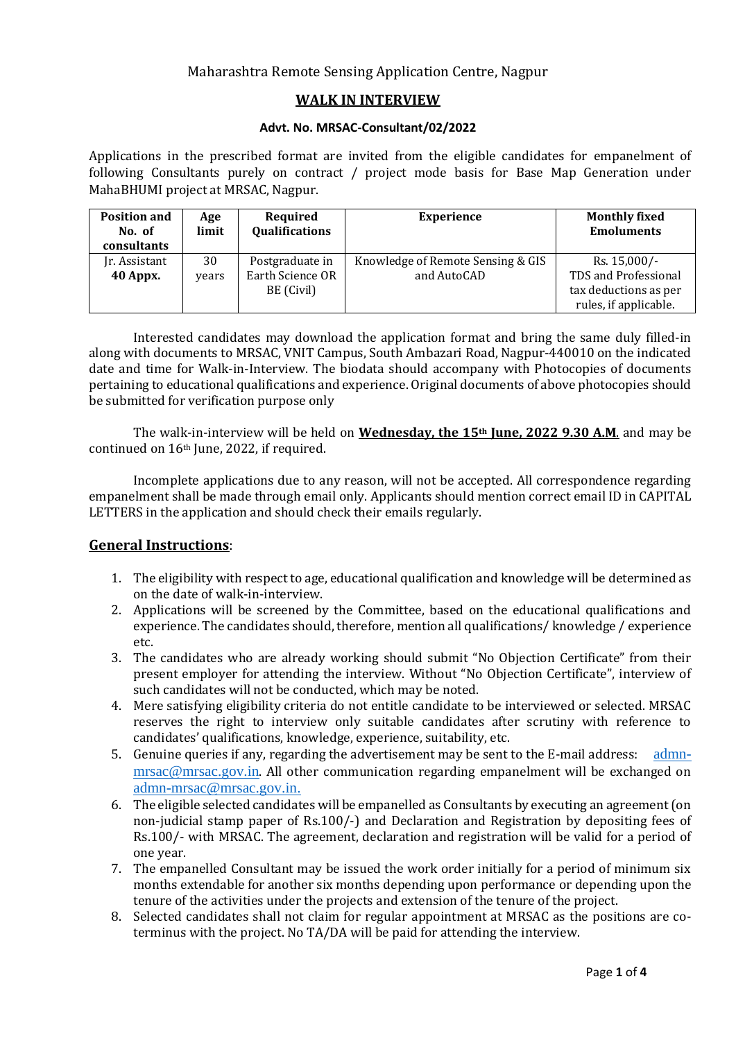## Maharashtra Remote Sensing Application Centre, Nagpur

## **WALK IN INTERVIEW**

#### **Advt. No. MRSAC-Consultant/02/2022**

Applications in the prescribed format are invited from the eligible candidates for empanelment of following Consultants purely on contract / project mode basis for Base Map Generation under MahaBHUMI project at MRSAC, Nagpur.

| <b>Position and</b><br>No. of<br>consultants | Age<br>limit | Required<br><b>Qualifications</b> | <b>Experience</b>                 | <b>Monthly fixed</b><br><b>Emoluments</b> |
|----------------------------------------------|--------------|-----------------------------------|-----------------------------------|-------------------------------------------|
| Jr. Assistant                                | 30           | Postgraduate in                   | Knowledge of Remote Sensing & GIS | Rs. 15,000/-                              |
| 40 Appx.                                     | vears        | Earth Science OR                  | and AutoCAD                       | TDS and Professional                      |
|                                              |              | BE (Civil)                        |                                   | tax deductions as per                     |
|                                              |              |                                   |                                   | rules, if applicable.                     |

Interested candidates may download the application format and bring the same duly filled-in along with documents to MRSAC, VNIT Campus, South Ambazari Road, Nagpur-440010 on the indicated date and time for Walk-in-Interview. The biodata should accompany with Photocopies of documents pertaining to educational qualifications and experience. Original documents of above photocopies should be submitted for verification purpose only

The walk-in-interview will be held on **Wednesday, the 15th June, 2022 9.30 A.M**. and may be continued on 16th June, 2022, if required.

Incomplete applications due to any reason, will not be accepted. All correspondence regarding empanelment shall be made through email only. Applicants should mention correct email ID in CAPITAL LETTERS in the application and should check their emails regularly.

#### **General Instructions**:

- 1. The eligibility with respect to age, educational qualification and knowledge will be determined as on the date of walk-in-interview.
- 2. Applications will be screened by the Committee, based on the educational qualifications and experience. The candidates should, therefore, mention all qualifications/ knowledge / experience etc.
- 3. The candidates who are already working should submit "No Objection Certificate" from their present employer for attending the interview. Without "No Objection Certificate", interview of such candidates will not be conducted, which may be noted.
- 4. Mere satisfying eligibility criteria do not entitle candidate to be interviewed or selected. MRSAC reserves the right to interview only suitable candidates after scrutiny with reference to candidates' qualifications, knowledge, experience, suitability, etc.
- 5. Genuine queries if any, regarding the advertisement may be sent to the E-mail address: [admn](mailto:admn-mrsac@mrsac.gov.in)[mrsac@mrsac.gov.in](mailto:admn-mrsac@mrsac.gov.in). All other communication regarding empanelment will be exchanged on [admn-mrsac@mrsac.gov.in.](mailto:admn-mrsac@mrsac.gov.in)
- 6. The eligible selected candidates will be empanelled as Consultants by executing an agreement (on non-judicial stamp paper of Rs.100/-) and Declaration and Registration by depositing fees of Rs.100/- with MRSAC. The agreement, declaration and registration will be valid for a period of one year.
- 7. The empanelled Consultant may be issued the work order initially for a period of minimum six months extendable for another six months depending upon performance or depending upon the tenure of the activities under the projects and extension of the tenure of the project.
- 8. Selected candidates shall not claim for regular appointment at MRSAC as the positions are coterminus with the project. No TA/DA will be paid for attending the interview.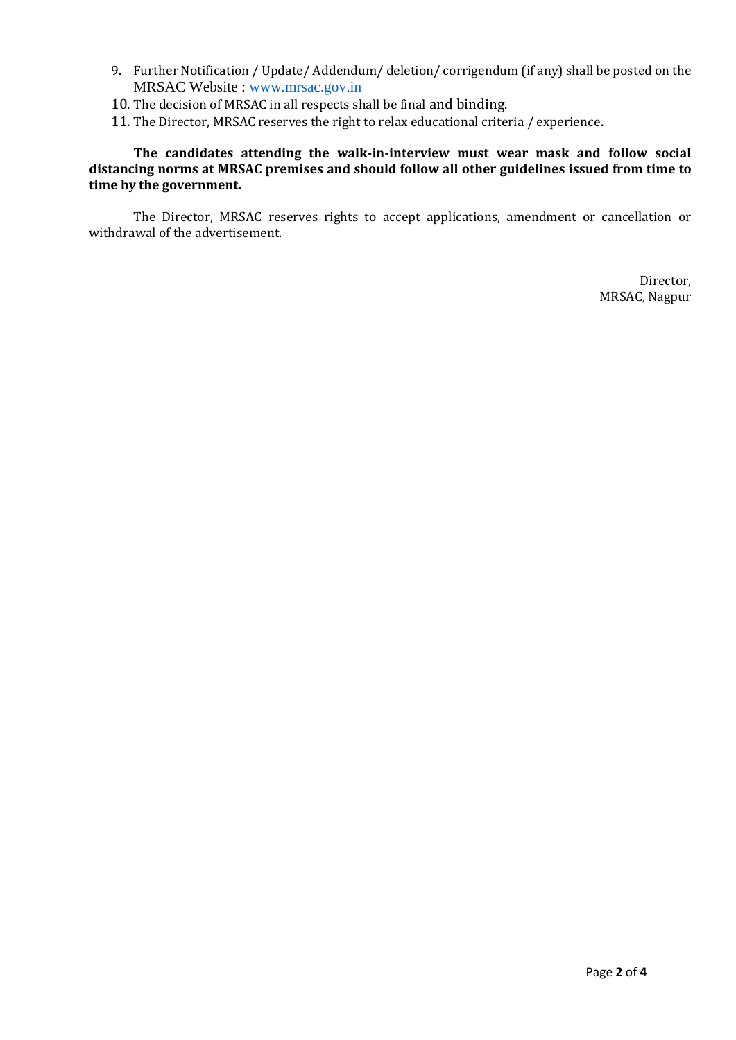- 9. Further Notification / Update/ Addendum/ deletion/ corrigendum (if any) shall be posted on the MRSAC Website : [www.mrsac.gov.in](http://www.mrsac.gov.in/)
- 10. The decision of MRSAC in all respects shall be final and binding.
- 11. The Director, MRSAC reserves the right to relax educational criteria / experience.

**The candidates attending the walk-in-interview must wear mask and follow social distancing norms at MRSAC premises and should follow all other guidelines issued from time to time by the government.** 

The Director, MRSAC reserves rights to accept applications, amendment or cancellation or withdrawal of the advertisement.

> Director, MRSAC, Nagpur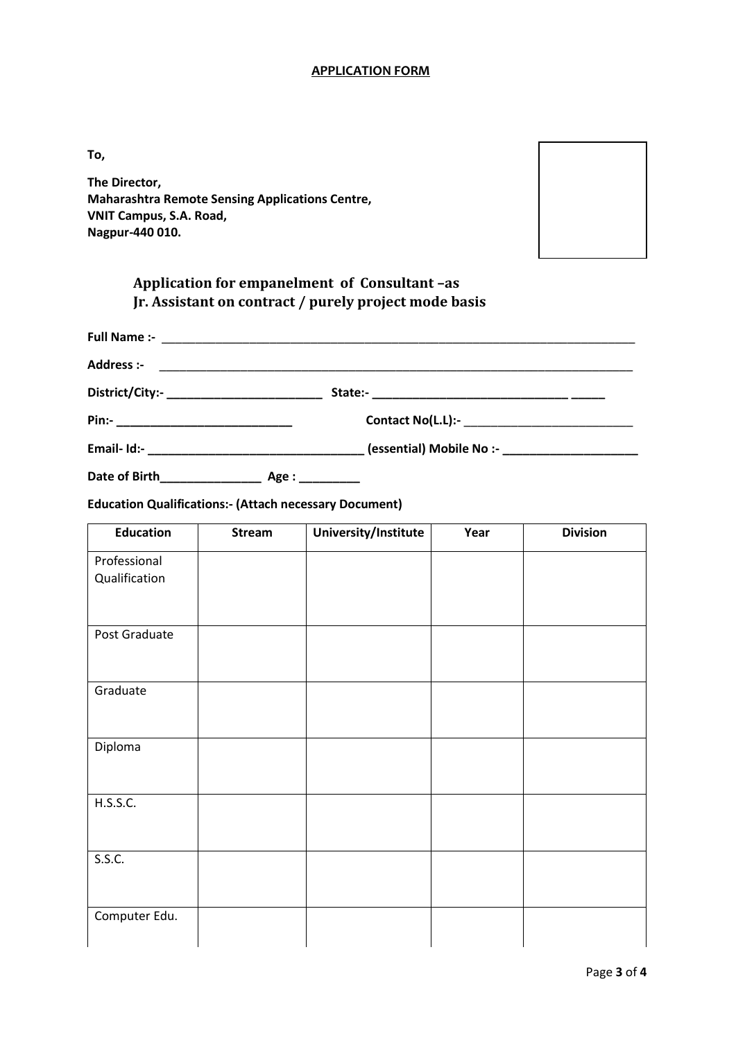#### **APPLICATION FORM**

**To,**

**The Director, Maharashtra Remote Sensing Applications Centre, VNIT Campus, S.A. Road, Nagpur-440 010.**



# **Application for empanelment of Consultant –as Jr. Assistant on contract / purely project mode basis**

| Address :-                                |                                                                                                                 |
|-------------------------------------------|-----------------------------------------------------------------------------------------------------------------|
| District/City:-__________________________ |                                                                                                                 |
|                                           |                                                                                                                 |
|                                           | essential) Mobile No :- Letter and the sense of the sense of the sense of the sense of the sense of the sense o |
|                                           |                                                                                                                 |

**Education Qualifications:- (Attach necessary Document)**

| <b>Education</b> | Stream | University/Institute | Year | <b>Division</b> |
|------------------|--------|----------------------|------|-----------------|
| Professional     |        |                      |      |                 |
| Qualification    |        |                      |      |                 |
| Post Graduate    |        |                      |      |                 |
| Graduate         |        |                      |      |                 |
|                  |        |                      |      |                 |
| Diploma          |        |                      |      |                 |
| H.S.S.C.         |        |                      |      |                 |
| S.S.C.           |        |                      |      |                 |
| Computer Edu.    |        |                      |      |                 |